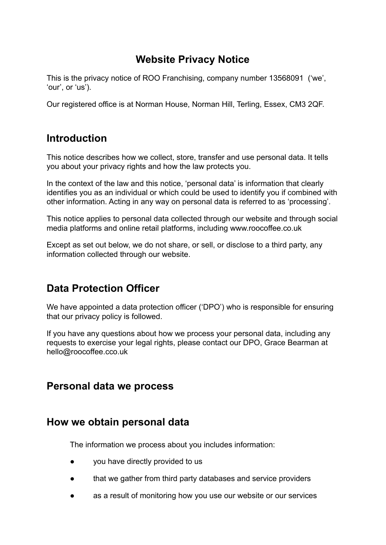# **Website Privacy Notice**

This is the privacy notice of ROO Franchising, company number 13568091 ('we', 'our', or 'us').

Our registered office is at Norman House, Norman Hill, Terling, Essex, CM3 2QF.

# **Introduction**

This notice describes how we collect, store, transfer and use personal data. It tells you about your privacy rights and how the law protects you.

In the context of the law and this notice, 'personal data' is information that clearly identifies you as an individual or which could be used to identify you if combined with other information. Acting in any way on personal data is referred to as 'processing'.

This notice applies to personal data collected through our website and through social media platforms and online retail platforms, including www.roocoffee.co.uk

Except as set out below, we do not share, or sell, or disclose to a third party, any information collected through our website.

# **Data Protection Officer**

We have appointed a data protection officer ('DPO') who is responsible for ensuring that our privacy policy is followed.

If you have any questions about how we process your personal data, including any requests to exercise your legal rights, please contact our DPO, Grace Bearman at hello@roocoffee.cco.uk

#### **Personal data we process**

## **How we obtain personal data**

The information we process about you includes information:

- you have directly provided to us
- that we gather from third party databases and service providers
- as a result of monitoring how you use our website or our services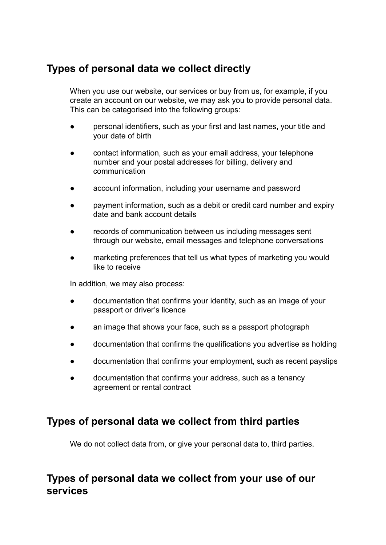# **Types of personal data we collect directly**

When you use our website, our services or buy from us, for example, if you create an account on our website, we may ask you to provide personal data. This can be categorised into the following groups:

- personal identifiers, such as your first and last names, your title and your date of birth
- contact information, such as your email address, your telephone number and your postal addresses for billing, delivery and communication
- account information, including your username and password
- payment information, such as a debit or credit card number and expiry date and bank account details
- records of communication between us including messages sent through our website, email messages and telephone conversations
- marketing preferences that tell us what types of marketing you would like to receive

In addition, we may also process:

- documentation that confirms your identity, such as an image of your passport or driver's licence
- an image that shows your face, such as a passport photograph
- documentation that confirms the qualifications you advertise as holding
- documentation that confirms your employment, such as recent payslips
- documentation that confirms your address, such as a tenancy agreement or rental contract

## **Types of personal data we collect from third parties**

We do not collect data from, or give your personal data to, third parties.

# **Types of personal data we collect from your use of our services**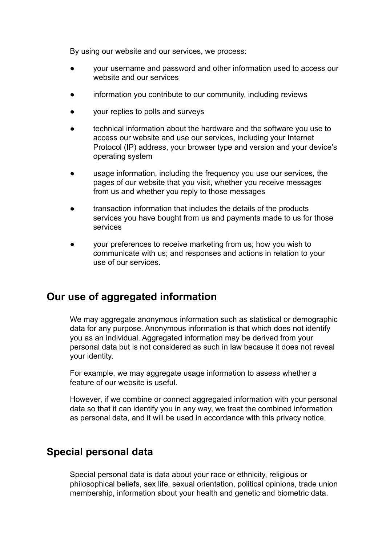By using our website and our services, we process:

- your username and password and other information used to access our website and our services
- information you contribute to our community, including reviews
- your replies to polls and survevs
- technical information about the hardware and the software you use to access our website and use our services, including your Internet Protocol (IP) address, your browser type and version and your device's operating system
- usage information, including the frequency you use our services, the pages of our website that you visit, whether you receive messages from us and whether you reply to those messages
- transaction information that includes the details of the products services you have bought from us and payments made to us for those services
- your preferences to receive marketing from us; how you wish to communicate with us; and responses and actions in relation to your use of our services.

## **Our use of aggregated information**

We may aggregate anonymous information such as statistical or demographic data for any purpose. Anonymous information is that which does not identify you as an individual. Aggregated information may be derived from your personal data but is not considered as such in law because it does not reveal your identity.

For example, we may aggregate usage information to assess whether a feature of our website is useful.

However, if we combine or connect aggregated information with your personal data so that it can identify you in any way, we treat the combined information as personal data, and it will be used in accordance with this privacy notice.

# **Special personal data**

Special personal data is data about your race or ethnicity, religious or philosophical beliefs, sex life, sexual orientation, political opinions, trade union membership, information about your health and genetic and biometric data.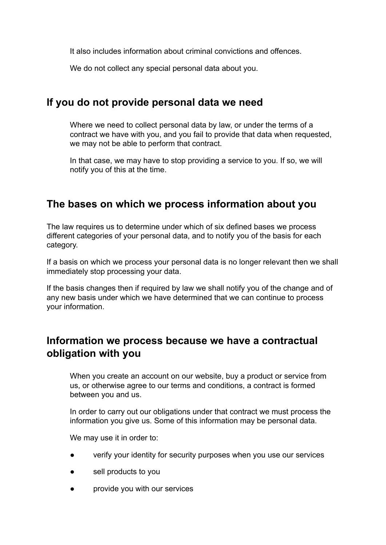It also includes information about criminal convictions and offences.

We do not collect any special personal data about you.

## **If you do not provide personal data we need**

Where we need to collect personal data by law, or under the terms of a contract we have with you, and you fail to provide that data when requested, we may not be able to perform that contract.

In that case, we may have to stop providing a service to you. If so, we will notify you of this at the time.

## **The bases on which we process information about you**

The law requires us to determine under which of six defined bases we process different categories of your personal data, and to notify you of the basis for each category.

If a basis on which we process your personal data is no longer relevant then we shall immediately stop processing your data.

If the basis changes then if required by law we shall notify you of the change and of any new basis under which we have determined that we can continue to process your information.

# **Information we process because we have a contractual obligation with you**

When you create an account on our website, buy a product or service from us, or otherwise agree to our terms and conditions, a contract is formed between you and us.

In order to carry out our obligations under that contract we must process the information you give us. Some of this information may be personal data.

We may use it in order to:

- verify your identity for security purposes when you use our services
- sell products to you
- provide you with our services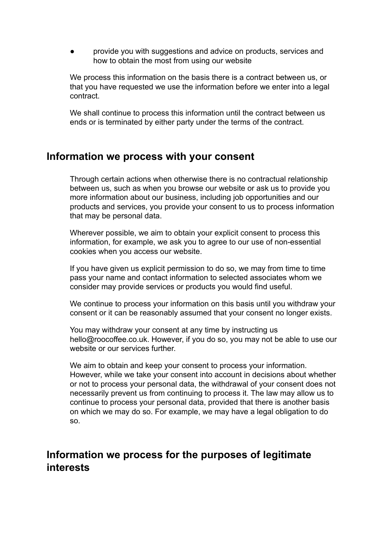provide you with suggestions and advice on products, services and how to obtain the most from using our website

We process this information on the basis there is a contract between us, or that you have requested we use the information before we enter into a legal contract.

We shall continue to process this information until the contract between us ends or is terminated by either party under the terms of the contract.

#### **Information we process with your consent**

Through certain actions when otherwise there is no contractual relationship between us, such as when you browse our website or ask us to provide you more information about our business, including job opportunities and our products and services, you provide your consent to us to process information that may be personal data.

Wherever possible, we aim to obtain your explicit consent to process this information, for example, we ask you to agree to our use of non-essential cookies when you access our website.

If you have given us explicit permission to do so, we may from time to time pass your name and contact information to selected associates whom we consider may provide services or products you would find useful.

We continue to process your information on this basis until you withdraw your consent or it can be reasonably assumed that your consent no longer exists.

You may withdraw your consent at any time by instructing us hello@roocoffee.co.uk. However, if you do so, you may not be able to use our website or our services further.

We aim to obtain and keep your consent to process your information. However, while we take your consent into account in decisions about whether or not to process your personal data, the withdrawal of your consent does not necessarily prevent us from continuing to process it. The law may allow us to continue to process your personal data, provided that there is another basis on which we may do so. For example, we may have a legal obligation to do so.

## **Information we process for the purposes of legitimate interests**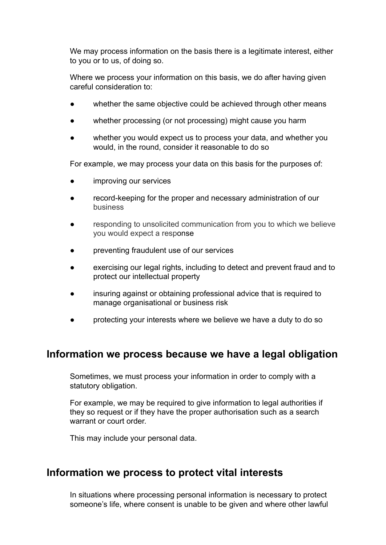We may process information on the basis there is a legitimate interest, either to you or to us, of doing so.

Where we process your information on this basis, we do after having given careful consideration to:

- whether the same objective could be achieved through other means
- whether processing (or not processing) might cause you harm
- whether you would expect us to process your data, and whether you would, in the round, consider it reasonable to do so

For example, we may process your data on this basis for the purposes of:

- improving our services
- record-keeping for the proper and necessary administration of our business
- responding to unsolicited communication from you to which we believe you would expect a response
- preventing fraudulent use of our services
- exercising our legal rights, including to detect and prevent fraud and to protect our intellectual property
- insuring against or obtaining professional advice that is required to manage organisational or business risk
- protecting your interests where we believe we have a duty to do so

#### **Information we process because we have a legal obligation**

Sometimes, we must process your information in order to comply with a statutory obligation.

For example, we may be required to give information to legal authorities if they so request or if they have the proper authorisation such as a search warrant or court order.

This may include your personal data.

#### **Information we process to protect vital interests**

In situations where processing personal information is necessary to protect someone's life, where consent is unable to be given and where other lawful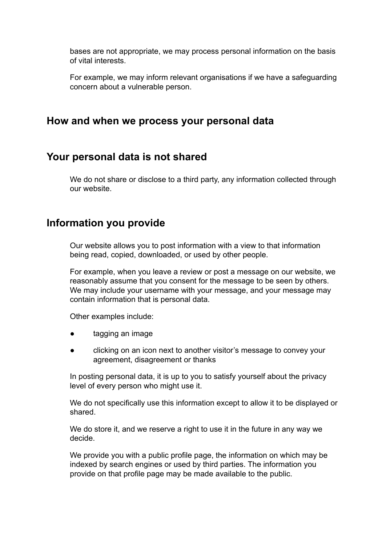bases are not appropriate, we may process personal information on the basis of vital interests.

For example, we may inform relevant organisations if we have a safeguarding concern about a vulnerable person.

#### **How and when we process your personal data**

### **Your personal data is not shared**

We do not share or disclose to a third party, any information collected through our website.

### **Information you provide**

Our website allows you to post information with a view to that information being read, copied, downloaded, or used by other people.

For example, when you leave a review or post a message on our website, we reasonably assume that you consent for the message to be seen by others. We may include your username with your message, and your message may contain information that is personal data.

Other examples include:

- tagging an image
- clicking on an icon next to another visitor's message to convey your agreement, disagreement or thanks

In posting personal data, it is up to you to satisfy yourself about the privacy level of every person who might use it.

We do not specifically use this information except to allow it to be displayed or shared.

We do store it, and we reserve a right to use it in the future in any way we decide.

We provide you with a public profile page, the information on which may be indexed by search engines or used by third parties. The information you provide on that profile page may be made available to the public.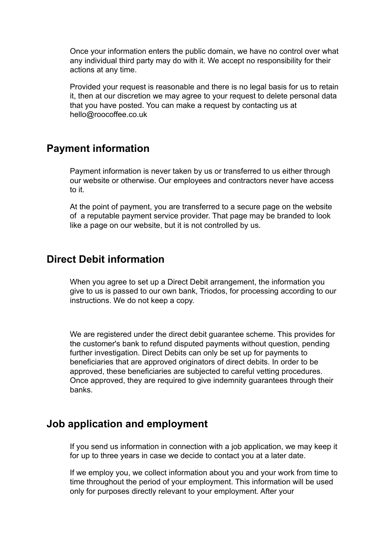Once your information enters the public domain, we have no control over what any individual third party may do with it. We accept no responsibility for their actions at any time.

Provided your request is reasonable and there is no legal basis for us to retain it, then at our discretion we may agree to your request to delete personal data that you have posted. You can make a request by contacting us at hello@roocoffee.co.uk

# **Payment information**

Payment information is never taken by us or transferred to us either through our website or otherwise. Our employees and contractors never have access to it.

At the point of payment, you are transferred to a secure page on the website of a reputable payment service provider. That page may be branded to look like a page on our website, but it is not controlled by us.

#### **Direct Debit information**

When you agree to set up a Direct Debit arrangement, the information you give to us is passed to our own bank, Triodos, for processing according to our instructions. We do not keep a copy.

We are registered under the direct debit guarantee scheme. This provides for the customer's bank to refund disputed payments without question, pending further investigation. Direct Debits can only be set up for payments to beneficiaries that are approved originators of direct debits. In order to be approved, these beneficiaries are subjected to careful vetting procedures. Once approved, they are required to give indemnity guarantees through their banks.

#### **Job application and employment**

If you send us information in connection with a job application, we may keep it for up to three years in case we decide to contact you at a later date.

If we employ you, we collect information about you and your work from time to time throughout the period of your employment. This information will be used only for purposes directly relevant to your employment. After your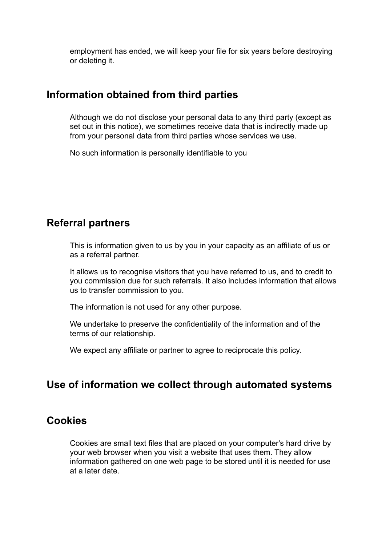employment has ended, we will keep your file for six years before destroying or deleting it.

# **Information obtained from third parties**

Although we do not disclose your personal data to any third party (except as set out in this notice), we sometimes receive data that is indirectly made up from your personal data from third parties whose services we use.

No such information is personally identifiable to you

## **Referral partners**

This is information given to us by you in your capacity as an affiliate of us or as a referral partner.

It allows us to recognise visitors that you have referred to us, and to credit to you commission due for such referrals. It also includes information that allows us to transfer commission to you.

The information is not used for any other purpose.

We undertake to preserve the confidentiality of the information and of the terms of our relationship.

We expect any affiliate or partner to agree to reciprocate this policy.

## **Use of information we collect through automated systems**

## **Cookies**

Cookies are small text files that are placed on your computer's hard drive by your web browser when you visit a website that uses them. They allow information gathered on one web page to be stored until it is needed for use at a later date.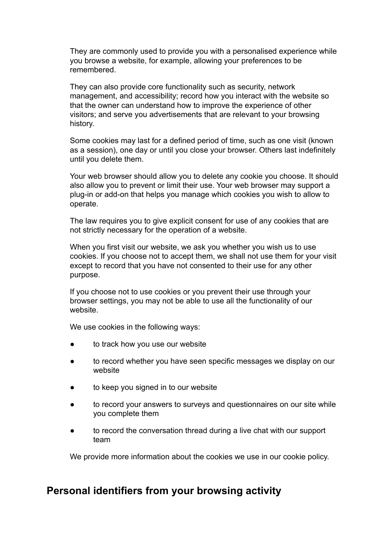They are commonly used to provide you with a personalised experience while you browse a website, for example, allowing your preferences to be remembered.

They can also provide core functionality such as security, network management, and accessibility; record how you interact with the website so that the owner can understand how to improve the experience of other visitors; and serve you advertisements that are relevant to your browsing history.

Some cookies may last for a defined period of time, such as one visit (known as a session), one day or until you close your browser. Others last indefinitely until you delete them.

Your web browser should allow you to delete any cookie you choose. It should also allow you to prevent or limit their use. Your web browser may support a plug-in or add-on that helps you manage which cookies you wish to allow to operate.

The law requires you to give explicit consent for use of any cookies that are not strictly necessary for the operation of a website.

When you first visit our website, we ask you whether you wish us to use cookies. If you choose not to accept them, we shall not use them for your visit except to record that you have not consented to their use for any other purpose.

If you choose not to use cookies or you prevent their use through your browser settings, you may not be able to use all the functionality of our website.

We use cookies in the following ways:

- to track how you use our website
- to record whether you have seen specific messages we display on our website
- to keep you signed in to our website
- to record your answers to surveys and questionnaires on our site while you complete them
- to record the conversation thread during a live chat with our support team

We provide more information about the cookies we use in our cookie policy.

## **Personal identifiers from your browsing activity**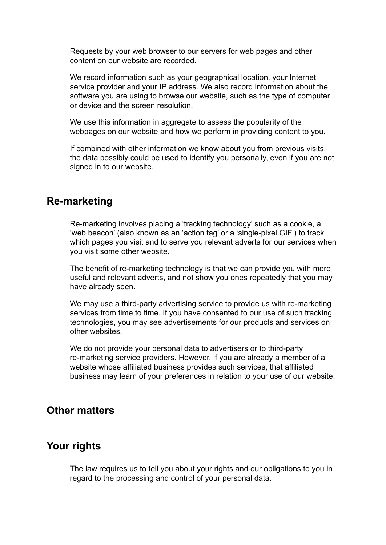Requests by your web browser to our servers for web pages and other content on our website are recorded.

We record information such as your geographical location, your Internet service provider and your IP address. We also record information about the software you are using to browse our website, such as the type of computer or device and the screen resolution.

We use this information in aggregate to assess the popularity of the webpages on our website and how we perform in providing content to you.

If combined with other information we know about you from previous visits, the data possibly could be used to identify you personally, even if you are not signed in to our website.

#### **Re-marketing**

Re-marketing involves placing a 'tracking technology' such as a cookie, a 'web beacon' (also known as an 'action tag' or a 'single-pixel GIF') to track which pages you visit and to serve you relevant adverts for our services when you visit some other website.

The benefit of re-marketing technology is that we can provide you with more useful and relevant adverts, and not show you ones repeatedly that you may have already seen.

We may use a third-party advertising service to provide us with re-marketing services from time to time. If you have consented to our use of such tracking technologies, you may see advertisements for our products and services on other websites.

We do not provide your personal data to advertisers or to third-party re-marketing service providers. However, if you are already a member of a website whose affiliated business provides such services, that affiliated business may learn of your preferences in relation to your use of our website.

#### **Other matters**

#### **Your rights**

The law requires us to tell you about your rights and our obligations to you in regard to the processing and control of your personal data.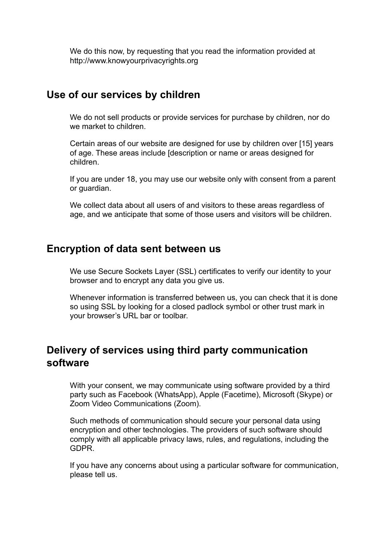We do this now, by requesting that you read the information provided at <http://www.knowyourprivacyrights.org>

### **Use of our services by children**

We do not sell products or provide services for purchase by children, nor do we market to children.

Certain areas of our website are designed for use by children over [15] years of age. These areas include [description or name or areas designed for children.

If you are under 18, you may use our website only with consent from a parent or guardian.

We collect data about all users of and visitors to these areas regardless of age, and we anticipate that some of those users and visitors will be children.

## **Encryption of data sent between us**

We use Secure Sockets Layer (SSL) certificates to verify our identity to your browser and to encrypt any data you give us.

Whenever information is transferred between us, you can check that it is done so using SSL by looking for a closed padlock symbol or other trust mark in your browser's URL bar or toolbar.

# **Delivery of services using third party communication software**

With your consent, we may communicate using software provided by a third party such as Facebook (WhatsApp), Apple (Facetime), Microsoft (Skype) or Zoom Video Communications (Zoom).

Such methods of communication should secure your personal data using encryption and other technologies. The providers of such software should comply with all applicable privacy laws, rules, and regulations, including the GDPR.

If you have any concerns about using a particular software for communication, please tell us.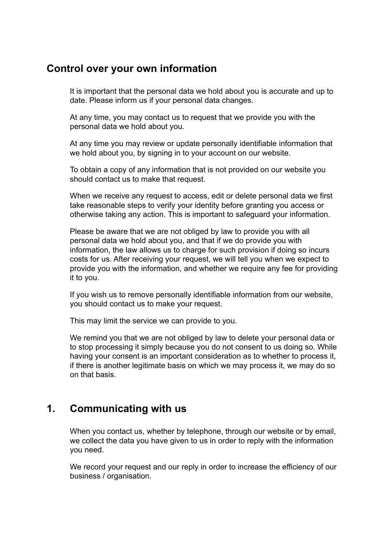## **Control over your own information**

It is important that the personal data we hold about you is accurate and up to date. Please inform us if your personal data changes.

At any time, you may contact us to request that we provide you with the personal data we hold about you.

At any time you may review or update personally identifiable information that we hold about you, by signing in to your account on our website.

To obtain a copy of any information that is not provided on our website you should contact us to make that request.

When we receive any request to access, edit or delete personal data we first take reasonable steps to verify your identity before granting you access or otherwise taking any action. This is important to safeguard your information.

Please be aware that we are not obliged by law to provide you with all personal data we hold about you, and that if we do provide you with information, the law allows us to charge for such provision if doing so incurs costs for us. After receiving your request, we will tell you when we expect to provide you with the information, and whether we require any fee for providing it to you.

If you wish us to remove personally identifiable information from our website, you should contact us to make your request.

This may limit the service we can provide to you.

We remind you that we are not obliged by law to delete your personal data or to stop processing it simply because you do not consent to us doing so. While having your consent is an important consideration as to whether to process it, if there is another legitimate basis on which we may process it, we may do so on that basis.

## **1. Communicating with us**

When you contact us, whether by telephone, through our website or by email, we collect the data you have given to us in order to reply with the information you need.

We record your request and our reply in order to increase the efficiency of our business / organisation.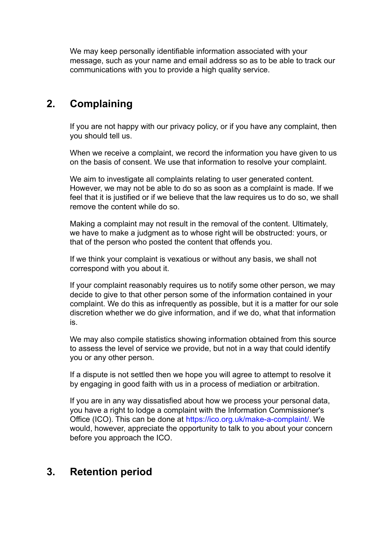We may keep personally identifiable information associated with your message, such as your name and email address so as to be able to track our communications with you to provide a high quality service.

# **2. Complaining**

If you are not happy with our privacy policy, or if you have any complaint, then you should tell us.

When we receive a complaint, we record the information you have given to us on the basis of consent. We use that information to resolve your complaint.

We aim to investigate all complaints relating to user generated content. However, we may not be able to do so as soon as a complaint is made. If we feel that it is justified or if we believe that the law requires us to do so, we shall remove the content while do so.

Making a complaint may not result in the removal of the content. Ultimately, we have to make a judgment as to whose right will be obstructed: yours, or that of the person who posted the content that offends you.

If we think your complaint is vexatious or without any basis, we shall not correspond with you about it.

If your complaint reasonably requires us to notify some other person, we may decide to give to that other person some of the information contained in your complaint. We do this as infrequently as possible, but it is a matter for our sole discretion whether we do give information, and if we do, what that information is.

We may also compile statistics showing information obtained from this source to assess the level of service we provide, but not in a way that could identify you or any other person.

If a dispute is not settled then we hope you will agree to attempt to resolve it by engaging in good faith with us in a process of mediation or arbitration.

If you are in any way dissatisfied about how we process your personal data, you have a right to lodge a complaint with the Information Commissioner's Office (ICO). This can be done at <https://ico.org.uk/make-a-complaint/>. We would, however, appreciate the opportunity to talk to you about your concern before you approach the ICO.

## **3. Retention period**